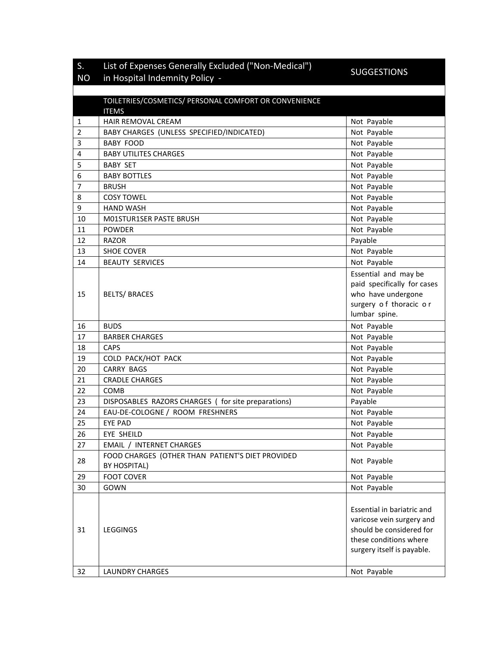## S. List of Expenses Generally Excluded ("Non-Medical") List of Expenses Generally Excluded ("Non-Medical")<br>in Hospital Indemnity Policy -

## NO

|                | TOILETRIES/COSMETICS/ PERSONAL COMFORT OR CONVENIENCE<br><b>ITEMS</b> |                                                                                                                                             |
|----------------|-----------------------------------------------------------------------|---------------------------------------------------------------------------------------------------------------------------------------------|
| 1              | HAIR REMOVAL CREAM                                                    | Not Payable                                                                                                                                 |
| $\overline{2}$ | BABY CHARGES (UNLESS SPECIFIED/INDICATED)                             | Not Payable                                                                                                                                 |
| 3              | <b>BABY FOOD</b>                                                      | Not Payable                                                                                                                                 |
| 4              | <b>BABY UTILITES CHARGES</b>                                          | Not Payable                                                                                                                                 |
| 5              | <b>BABY SET</b>                                                       | Not Payable                                                                                                                                 |
| 6              | <b>BABY BOTTLES</b>                                                   | Not Payable                                                                                                                                 |
| 7              | <b>BRUSH</b>                                                          | Not Payable                                                                                                                                 |
| 8              | <b>COSY TOWEL</b>                                                     | Not Payable                                                                                                                                 |
| 9              | <b>HAND WASH</b>                                                      | Not Payable                                                                                                                                 |
| 10             | M01STUR1SER PASTE BRUSH                                               | Not Payable                                                                                                                                 |
| 11             | <b>POWDER</b>                                                         | Not Payable                                                                                                                                 |
| 12             | <b>RAZOR</b>                                                          | Payable                                                                                                                                     |
| 13             | <b>SHOE COVER</b>                                                     | Not Payable                                                                                                                                 |
| 14             | <b>BEAUTY SERVICES</b>                                                | Not Payable                                                                                                                                 |
| 15             | <b>BELTS/ BRACES</b>                                                  | Essential and may be<br>paid specifically for cases<br>who have undergone<br>surgery of thoracic or<br>lumbar spine.                        |
| 16             | <b>BUDS</b>                                                           | Not Payable                                                                                                                                 |
| 17             | <b>BARBER CHARGES</b>                                                 | Not Payable                                                                                                                                 |
| 18             | <b>CAPS</b>                                                           | Not Payable                                                                                                                                 |
| 19             | COLD PACK/HOT PACK                                                    | Not Payable                                                                                                                                 |
| 20             | <b>CARRY BAGS</b>                                                     | Not Payable                                                                                                                                 |
| 21             | <b>CRADLE CHARGES</b>                                                 | Not Payable                                                                                                                                 |
| 22             | COMB                                                                  | Not Payable                                                                                                                                 |
| 23             | DISPOSABLES RAZORS CHARGES ( for site preparations)                   | Payable                                                                                                                                     |
| 24             | EAU-DE-COLOGNE / ROOM FRESHNERS                                       | Not Payable                                                                                                                                 |
| 25             | <b>EYE PAD</b>                                                        | Not Payable                                                                                                                                 |
| 26             | <b>EYE SHEILD</b>                                                     | Not Payable                                                                                                                                 |
| 27             | <b>EMAIL / INTERNET CHARGES</b>                                       | Not Payable                                                                                                                                 |
| 28             | FOOD CHARGES (OTHER THAN PATIENT'S DIET PROVIDED<br>BY HOSPITAL)      | Not Payable                                                                                                                                 |
| 29             | <b>FOOT COVER</b>                                                     | Not Payable                                                                                                                                 |
| 30             | GOWN                                                                  | Not Payable                                                                                                                                 |
| 31             | <b>LEGGINGS</b>                                                       | Essential in bariatric and<br>varicose vein surgery and<br>should be considered for<br>these conditions where<br>surgery itself is payable. |
| 32             | <b>LAUNDRY CHARGES</b>                                                | Not Payable                                                                                                                                 |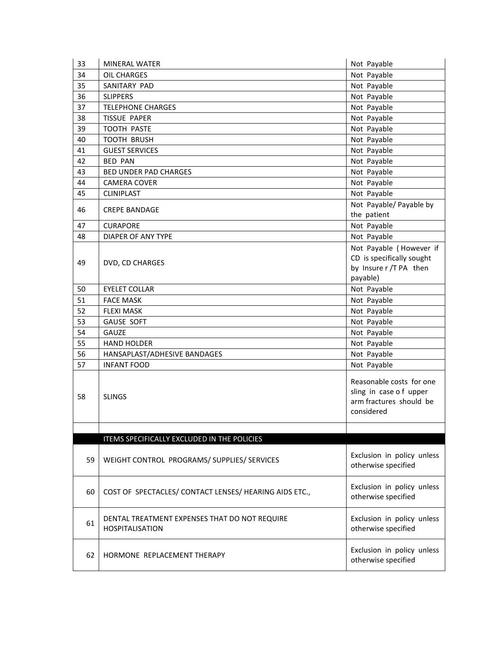| 33 | <b>MINERAL WATER</b>                                                    | Not Payable                                                                                 |
|----|-------------------------------------------------------------------------|---------------------------------------------------------------------------------------------|
| 34 | OIL CHARGES                                                             | Not Payable                                                                                 |
| 35 | SANITARY PAD                                                            | Not Payable                                                                                 |
| 36 | <b>SLIPPERS</b>                                                         | Not Payable                                                                                 |
| 37 | <b>TELEPHONE CHARGES</b>                                                | Not Payable                                                                                 |
| 38 | <b>TISSUE PAPER</b>                                                     | Not Payable                                                                                 |
| 39 | TOOTH PASTE                                                             | Not Payable                                                                                 |
| 40 | <b>TOOTH BRUSH</b>                                                      | Not Payable                                                                                 |
| 41 | <b>GUEST SERVICES</b>                                                   | Not Payable                                                                                 |
| 42 | <b>BED PAN</b>                                                          | Not Payable                                                                                 |
| 43 | <b>BED UNDER PAD CHARGES</b>                                            | Not Payable                                                                                 |
| 44 | <b>CAMERA COVER</b>                                                     | Not Payable                                                                                 |
| 45 | <b>CLINIPLAST</b>                                                       | Not Payable                                                                                 |
|    |                                                                         | Not Payable/ Payable by                                                                     |
| 46 | <b>CREPE BANDAGE</b>                                                    | the patient                                                                                 |
| 47 | <b>CURAPORE</b>                                                         | Not Payable                                                                                 |
| 48 | DIAPER OF ANY TYPE                                                      | Not Payable                                                                                 |
|    |                                                                         | Not Payable (However if                                                                     |
|    |                                                                         | CD is specifically sought                                                                   |
| 49 | DVD, CD CHARGES                                                         | by Insure r /T PA then                                                                      |
|    |                                                                         | payable)                                                                                    |
| 50 | <b>EYELET COLLAR</b>                                                    | Not Payable                                                                                 |
| 51 | <b>FACE MASK</b>                                                        | Not Payable                                                                                 |
| 52 | <b>FLEXI MASK</b>                                                       | Not Payable                                                                                 |
| 53 | <b>GAUSE SOFT</b>                                                       | Not Payable                                                                                 |
| 54 | GAUZE                                                                   | Not Payable                                                                                 |
| 55 | <b>HAND HOLDER</b>                                                      | Not Payable                                                                                 |
| 56 | HANSAPLAST/ADHESIVE BANDAGES                                            | Not Payable                                                                                 |
| 57 | <b>INFANT FOOD</b>                                                      | Not Payable                                                                                 |
| 58 | <b>SLINGS</b>                                                           | Reasonable costs for one<br>sling in case of upper<br>arm fractures should be<br>considered |
|    |                                                                         |                                                                                             |
|    | ITEMS SPECIFICALLY EXCLUDED IN THE POLICIES                             |                                                                                             |
| 59 | WEIGHT CONTROL PROGRAMS/ SUPPLIES/ SERVICES                             | Exclusion in policy unless<br>otherwise specified                                           |
| 60 | COST OF SPECTACLES/ CONTACT LENSES/ HEARING AIDS ETC.,                  | Exclusion in policy unless<br>otherwise specified                                           |
| 61 | DENTAL TREATMENT EXPENSES THAT DO NOT REQUIRE<br><b>HOSPITALISATION</b> | Exclusion in policy unless<br>otherwise specified                                           |
| 62 | HORMONE REPLACEMENT THERAPY                                             | Exclusion in policy unless<br>otherwise specified                                           |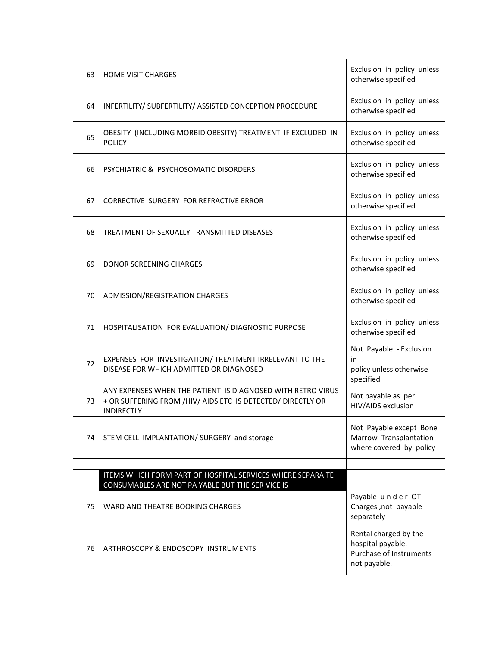| 63 | <b>HOME VISIT CHARGES</b>                                                                                                                       | Exclusion in policy unless<br>otherwise specified                                     |
|----|-------------------------------------------------------------------------------------------------------------------------------------------------|---------------------------------------------------------------------------------------|
| 64 | INFERTILITY/ SUBFERTILITY/ ASSISTED CONCEPTION PROCEDURE                                                                                        | Exclusion in policy unless<br>otherwise specified                                     |
| 65 | OBESITY (INCLUDING MORBID OBESITY) TREATMENT IF EXCLUDED IN<br><b>POLICY</b>                                                                    | Exclusion in policy unless<br>otherwise specified                                     |
| 66 | PSYCHIATRIC & PSYCHOSOMATIC DISORDERS                                                                                                           | Exclusion in policy unless<br>otherwise specified                                     |
| 67 | <b>CORRECTIVE SURGERY FOR REFRACTIVE ERROR</b>                                                                                                  | Exclusion in policy unless<br>otherwise specified                                     |
| 68 | TREATMENT OF SEXUALLY TRANSMITTED DISEASES                                                                                                      | Exclusion in policy unless<br>otherwise specified                                     |
| 69 | DONOR SCREENING CHARGES                                                                                                                         | Exclusion in policy unless<br>otherwise specified                                     |
| 70 | ADMISSION/REGISTRATION CHARGES                                                                                                                  | Exclusion in policy unless<br>otherwise specified                                     |
| 71 | HOSPITALISATION FOR EVALUATION/ DIAGNOSTIC PURPOSE                                                                                              | Exclusion in policy unless<br>otherwise specified                                     |
| 72 | EXPENSES FOR INVESTIGATION/ TREATMENT IRRELEVANT TO THE<br>DISEASE FOR WHICH ADMITTED OR DIAGNOSED                                              | Not Payable - Exclusion<br>in<br>policy unless otherwise<br>specified                 |
| 73 | ANY EXPENSES WHEN THE PATIENT IS DIAGNOSED WITH RETRO VIRUS<br>+ OR SUFFERING FROM /HIV/ AIDS ETC IS DETECTED/ DIRECTLY OR<br><b>INDIRECTLY</b> | Not payable as per<br>HIV/AIDS exclusion                                              |
| 74 | STEM CELL IMPLANTATION/ SURGERY and storage                                                                                                     | Not Payable except Bone<br>Marrow Transplantation<br>where covered by policy          |
|    |                                                                                                                                                 |                                                                                       |
|    | ITEMS WHICH FORM PART OF HOSPITAL SERVICES WHERE SEPARA TE<br>CONSUMABLES ARE NOT PA YABLE BUT THE SER VICE IS                                  |                                                                                       |
| 75 | WARD AND THEATRE BOOKING CHARGES                                                                                                                | Payable under OT<br>Charges, not payable<br>separately                                |
| 76 | ARTHROSCOPY & ENDOSCOPY INSTRUMENTS                                                                                                             | Rental charged by the<br>hospital payable.<br>Purchase of Instruments<br>not payable. |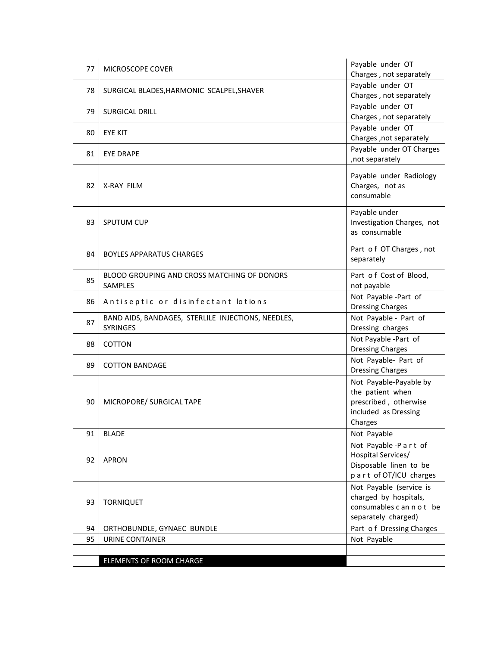| 77 | MICROSCOPE COVER                                                      | Payable under OT<br>Charges, not separately                                                            |
|----|-----------------------------------------------------------------------|--------------------------------------------------------------------------------------------------------|
| 78 | SURGICAL BLADES, HARMONIC SCALPEL, SHAVER                             | Payable under OT<br>Charges, not separately                                                            |
| 79 | <b>SURGICAL DRILL</b>                                                 | Payable under OT<br>Charges, not separately                                                            |
| 80 | <b>EYE KIT</b>                                                        | Payable under OT<br>Charges , not separately                                                           |
| 81 | <b>EYE DRAPE</b>                                                      | Payable under OT Charges<br>, not separately                                                           |
| 82 | X-RAY FILM                                                            | Payable under Radiology<br>Charges, not as<br>consumable                                               |
| 83 | <b>SPUTUM CUP</b>                                                     | Payable under<br>Investigation Charges, not<br>as consumable                                           |
| 84 | <b>BOYLES APPARATUS CHARGES</b>                                       | Part of OT Charges, not<br>separately                                                                  |
| 85 | BLOOD GROUPING AND CROSS MATCHING OF DONORS<br>SAMPLES                | Part of Cost of Blood,<br>not payable                                                                  |
| 86 | Antiseptic or disinfectant lotions                                    | Not Payable-Part of<br><b>Dressing Charges</b>                                                         |
| 87 | BAND AIDS, BANDAGES, STERLILE INJECTIONS, NEEDLES,<br><b>SYRINGES</b> | Not Payable - Part of<br>Dressing charges                                                              |
| 88 | <b>COTTON</b>                                                         | Not Payable -Part of<br><b>Dressing Charges</b>                                                        |
| 89 | <b>COTTON BANDAGE</b>                                                 | Not Payable- Part of<br><b>Dressing Charges</b>                                                        |
| 90 | MICROPORE/ SURGICAL TAPE                                              | Not Payable-Payable by<br>the patient when<br>prescribed, otherwise<br>included as Dressing<br>Charges |
| 91 | <b>BLADE</b>                                                          | Not Payable                                                                                            |
| 92 | <b>APRON</b>                                                          | Not Payable-Part of<br>Hospital Services/<br>Disposable linen to be<br>part of OT/ICU charges          |
| 93 | <b>TORNIQUET</b>                                                      | Not Payable (service is<br>charged by hospitals,<br>consumables c an n o t be<br>separately charged)   |
| 94 | ORTHOBUNDLE, GYNAEC BUNDLE                                            | Part of Dressing Charges                                                                               |
| 95 | URINE CONTAINER                                                       | Not Payable                                                                                            |
|    | ELEMENTS OF ROOM CHARGE                                               |                                                                                                        |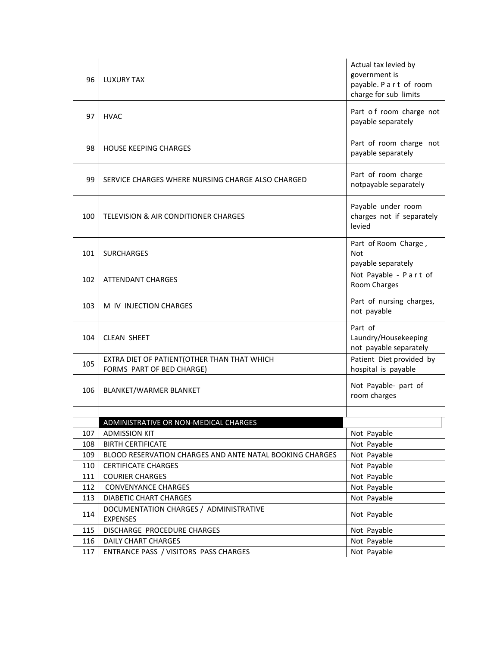| 96  | LUXURY TAX                                                               | Actual tax levied by<br>government is<br>payable. P a r t of room<br>charge for sub limits |
|-----|--------------------------------------------------------------------------|--------------------------------------------------------------------------------------------|
| 97  | <b>HVAC</b>                                                              | Part of room charge not<br>payable separately                                              |
| 98  | <b>HOUSE KEEPING CHARGES</b>                                             | Part of room charge not<br>payable separately                                              |
| 99  | SERVICE CHARGES WHERE NURSING CHARGE ALSO CHARGED                        | Part of room charge<br>notpayable separately                                               |
| 100 | TELEVISION & AIR CONDITIONER CHARGES                                     | Payable under room<br>charges not if separately<br>levied                                  |
| 101 | <b>SURCHARGES</b>                                                        | Part of Room Charge,<br>Not<br>payable separately                                          |
| 102 | <b>ATTENDANT CHARGES</b>                                                 | Not Payable - Part of<br>Room Charges                                                      |
| 103 | M IV INJECTION CHARGES                                                   | Part of nursing charges,<br>not payable                                                    |
| 104 | <b>CLEAN SHEET</b>                                                       | Part of<br>Laundry/Housekeeping<br>not payable separately                                  |
| 105 | EXTRA DIET OF PATIENT(OTHER THAN THAT WHICH<br>FORMS PART OF BED CHARGE) | Patient Diet provided by<br>hospital is payable                                            |
| 106 | <b>BLANKET/WARMER BLANKET</b>                                            | Not Payable- part of<br>room charges                                                       |
|     |                                                                          |                                                                                            |
| 107 | ADMINISTRATIVE OR NON-MEDICAL CHARGES<br><b>ADMISSION KIT</b>            | Not Payable                                                                                |
| 108 | <b>BIRTH CERTIFICATE</b>                                                 | Not Payable                                                                                |
| 109 | BLOOD RESERVATION CHARGES AND ANTE NATAL BOOKING CHARGES                 | Not Payable                                                                                |
| 110 | <b>CERTIFICATE CHARGES</b>                                               | Not Payable                                                                                |
| 111 | <b>COURIER CHARGES</b>                                                   | Not Payable                                                                                |
| 112 | <b>CONVENYANCE CHARGES</b>                                               | Not Payable                                                                                |
| 113 | DIABETIC CHART CHARGES                                                   | Not Payable                                                                                |
| 114 | DOCUMENTATION CHARGES / ADMINISTRATIVE<br><b>EXPENSES</b>                | Not Payable                                                                                |
| 115 | DISCHARGE PROCEDURE CHARGES                                              | Not Payable                                                                                |
| 116 | DAILY CHART CHARGES                                                      | Not Payable                                                                                |
| 117 | ENTRANCE PASS / VISITORS PASS CHARGES                                    | Not Payable                                                                                |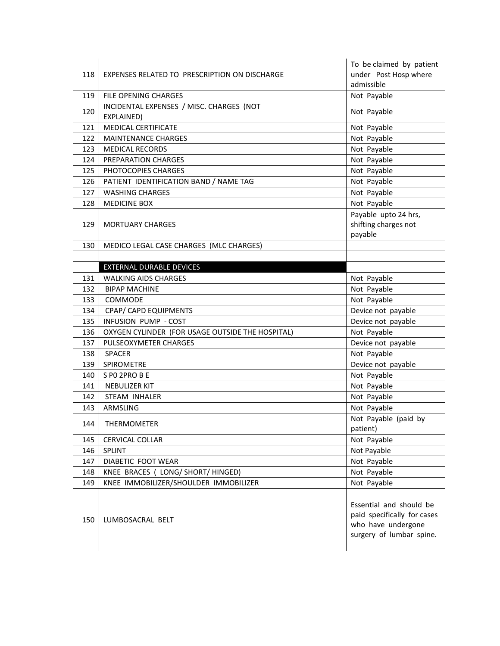| 118 | EXPENSES RELATED TO PRESCRIPTION ON DISCHARGE          | To be claimed by patient<br>under Post Hosp where<br>admissible                                          |
|-----|--------------------------------------------------------|----------------------------------------------------------------------------------------------------------|
| 119 | FILE OPENING CHARGES                                   | Not Payable                                                                                              |
| 120 | INCIDENTAL EXPENSES / MISC. CHARGES (NOT<br>EXPLAINED) | Not Payable                                                                                              |
| 121 | <b>MEDICAL CERTIFICATE</b>                             | Not Payable                                                                                              |
| 122 | <b>MAINTENANCE CHARGES</b>                             | Not Payable                                                                                              |
| 123 | <b>MEDICAL RECORDS</b>                                 | Not Payable                                                                                              |
| 124 | PREPARATION CHARGES                                    | Not Payable                                                                                              |
| 125 | PHOTOCOPIES CHARGES                                    | Not Payable                                                                                              |
| 126 | PATIENT IDENTIFICATION BAND / NAME TAG                 | Not Payable                                                                                              |
| 127 | <b>WASHING CHARGES</b>                                 | Not Payable                                                                                              |
| 128 | <b>MEDICINE BOX</b>                                    | Not Payable                                                                                              |
| 129 | <b>MORTUARY CHARGES</b>                                | Payable upto 24 hrs,<br>shifting charges not<br>payable                                                  |
| 130 | MEDICO LEGAL CASE CHARGES (MLC CHARGES)                |                                                                                                          |
|     |                                                        |                                                                                                          |
|     | <b>EXTERNAL DURABLE DEVICES</b>                        |                                                                                                          |
| 131 | <b>WALKING AIDS CHARGES</b>                            | Not Payable                                                                                              |
| 132 | <b>BIPAP MACHINE</b>                                   | Not Payable                                                                                              |
| 133 | COMMODE                                                | Not Payable                                                                                              |
| 134 | CPAP/ CAPD EQUIPMENTS                                  | Device not payable                                                                                       |
| 135 | INFUSION PUMP - COST                                   | Device not payable                                                                                       |
| 136 | OXYGEN CYLINDER (FOR USAGE OUTSIDE THE HOSPITAL)       | Not Payable                                                                                              |
| 137 | PULSEOXYMETER CHARGES                                  | Device not payable                                                                                       |
| 138 | <b>SPACER</b>                                          | Not Payable                                                                                              |
| 139 | SPIROMETRE                                             | Device not payable                                                                                       |
| 140 | S PO 2PRO B E                                          | Not Payable                                                                                              |
| 141 | <b>NEBULIZER KIT</b>                                   | Not Payable                                                                                              |
| 142 | STEAM INHALER                                          | Not Payable                                                                                              |
| 143 | ARMSLING                                               | Not Payable                                                                                              |
| 144 | THERMOMETER                                            | Not Payable (paid by<br>patient)                                                                         |
| 145 | <b>CERVICAL COLLAR</b>                                 | Not Payable                                                                                              |
| 146 | SPLINT                                                 | Not Payable                                                                                              |
| 147 | DIABETIC FOOT WEAR                                     | Not Payable                                                                                              |
| 148 | KNEE BRACES ( LONG/ SHORT/ HINGED)                     | Not Payable                                                                                              |
| 149 | KNEE IMMOBILIZER/SHOULDER IMMOBILIZER                  | Not Payable                                                                                              |
| 150 | LUMBOSACRAL BELT                                       | Essential and should be<br>paid specifically for cases<br>who have undergone<br>surgery of lumbar spine. |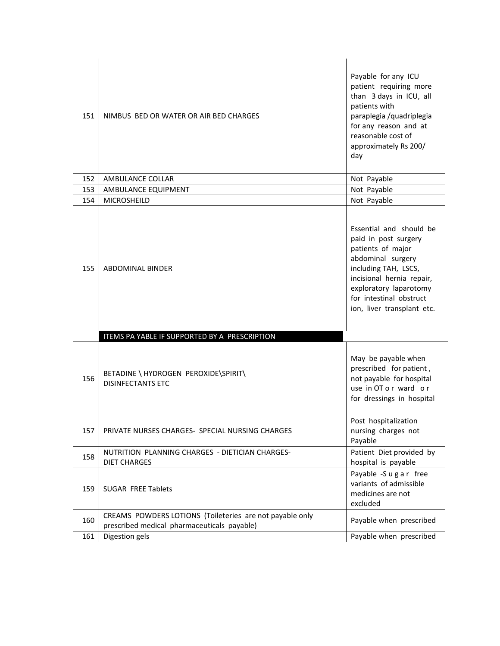| 151 | NIMBUS BED OR WATER OR AIR BED CHARGES                                                                  | Payable for any ICU<br>patient requiring more<br>than 3 days in ICU, all<br>patients with<br>paraplegia /quadriplegia<br>for any reason and at<br>reasonable cost of<br>approximately Rs 200/<br>day                              |
|-----|---------------------------------------------------------------------------------------------------------|-----------------------------------------------------------------------------------------------------------------------------------------------------------------------------------------------------------------------------------|
| 152 | AMBULANCE COLLAR                                                                                        | Not Payable                                                                                                                                                                                                                       |
| 153 | AMBULANCE EQUIPMENT                                                                                     | Not Payable                                                                                                                                                                                                                       |
| 154 | MICROSHEILD                                                                                             | Not Payable                                                                                                                                                                                                                       |
| 155 | <b>ABDOMINAL BINDER</b>                                                                                 | Essential and should be<br>paid in post surgery<br>patients of major<br>abdominal surgery<br>including TAH, LSCS,<br>incisional hernia repair,<br>exploratory laparotomy<br>for intestinal obstruct<br>ion, liver transplant etc. |
|     | ITEMS PA YABLE IF SUPPORTED BY A PRESCRIPTION                                                           |                                                                                                                                                                                                                                   |
| 156 | BETADINE \ HYDROGEN PEROXIDE\SPIRIT\<br><b>DISINFECTANTS ETC</b>                                        | May be payable when<br>prescribed for patient,<br>not payable for hospital<br>use in OT or ward or<br>for dressings in hospital                                                                                                   |
| 157 | PRIVATE NURSES CHARGES- SPECIAL NURSING CHARGES                                                         | Post hospitalization<br>nursing charges not<br>Payable                                                                                                                                                                            |
| 158 | NUTRITION PLANNING CHARGES - DIETICIAN CHARGES-<br><b>DIET CHARGES</b>                                  | Patient Diet provided by<br>hospital is payable                                                                                                                                                                                   |
| 159 | <b>SUGAR FREE Tablets</b>                                                                               | Payable -Sugar free<br>variants of admissible<br>medicines are not<br>excluded                                                                                                                                                    |
| 160 | CREAMS POWDERS LOTIONS (Toileteries are not payable only<br>prescribed medical pharmaceuticals payable) | Payable when prescribed                                                                                                                                                                                                           |
| 161 | Digestion gels                                                                                          | Payable when prescribed                                                                                                                                                                                                           |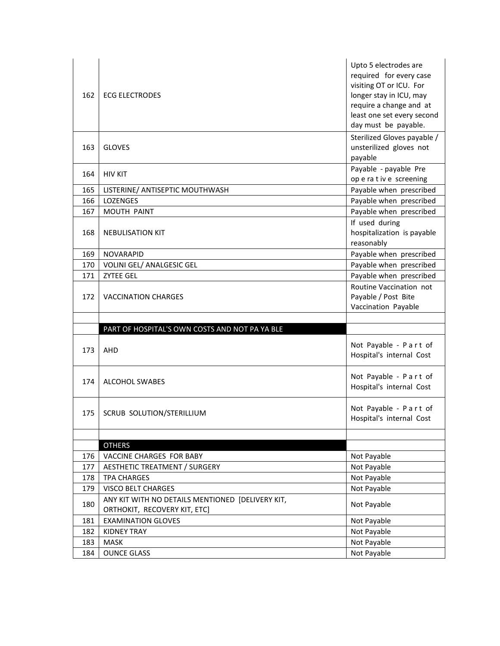| 162 | <b>ECG ELECTRODES</b>                                                            | Upto 5 electrodes are<br>required for every case<br>visiting OT or ICU. For<br>longer stay in ICU, may<br>require a change and at<br>least one set every second<br>day must be payable. |
|-----|----------------------------------------------------------------------------------|-----------------------------------------------------------------------------------------------------------------------------------------------------------------------------------------|
| 163 | <b>GLOVES</b>                                                                    | Sterilized Gloves payable /<br>unsterilized gloves not<br>payable                                                                                                                       |
| 164 | <b>HIV KIT</b>                                                                   | Payable - payable Pre<br>op e ra t iv e screening                                                                                                                                       |
| 165 | LISTERINE/ ANTISEPTIC MOUTHWASH                                                  | Payable when prescribed                                                                                                                                                                 |
| 166 | LOZENGES                                                                         | Payable when prescribed                                                                                                                                                                 |
| 167 | MOUTH PAINT                                                                      | Payable when prescribed                                                                                                                                                                 |
| 168 | <b>NEBULISATION KIT</b>                                                          | If used during<br>hospitalization is payable<br>reasonably                                                                                                                              |
| 169 | <b>NOVARAPID</b>                                                                 | Payable when prescribed                                                                                                                                                                 |
| 170 | VOLINI GEL/ ANALGESIC GEL                                                        | Payable when prescribed                                                                                                                                                                 |
| 171 | <b>ZYTEE GEL</b>                                                                 | Payable when prescribed                                                                                                                                                                 |
| 172 | <b>VACCINATION CHARGES</b>                                                       | Routine Vaccination not<br>Payable / Post Bite<br>Vaccination Payable                                                                                                                   |
|     |                                                                                  |                                                                                                                                                                                         |
|     | PART OF HOSPITAL'S OWN COSTS AND NOT PA YA BLE                                   |                                                                                                                                                                                         |
|     |                                                                                  |                                                                                                                                                                                         |
| 173 | AHD                                                                              | Not Payable - Part of<br>Hospital's internal Cost                                                                                                                                       |
| 174 | <b>ALCOHOL SWABES</b>                                                            | Not Payable - Part of<br>Hospital's internal Cost                                                                                                                                       |
| 175 | SCRUB SOLUTION/STERILLIUM                                                        | Not Payable - Part of<br>Hospital's internal Cost                                                                                                                                       |
|     |                                                                                  |                                                                                                                                                                                         |
|     | <b>OTHERS</b>                                                                    |                                                                                                                                                                                         |
| 176 | VACCINE CHARGES FOR BABY                                                         | Not Payable                                                                                                                                                                             |
| 177 | <b>AESTHETIC TREATMENT / SURGERY</b>                                             | Not Payable                                                                                                                                                                             |
| 178 | <b>TPA CHARGES</b>                                                               | Not Payable                                                                                                                                                                             |
| 179 | VISCO BELT CHARGES                                                               | Not Payable                                                                                                                                                                             |
| 180 | ANY KIT WITH NO DETAILS MENTIONED [DELIVERY KIT,<br>ORTHOKIT, RECOVERY KIT, ETC] | Not Payable                                                                                                                                                                             |
| 181 | <b>EXAMINATION GLOVES</b>                                                        | Not Payable                                                                                                                                                                             |
| 182 | <b>KIDNEY TRAY</b>                                                               | Not Payable                                                                                                                                                                             |
| 183 | <b>MASK</b>                                                                      | Not Payable                                                                                                                                                                             |